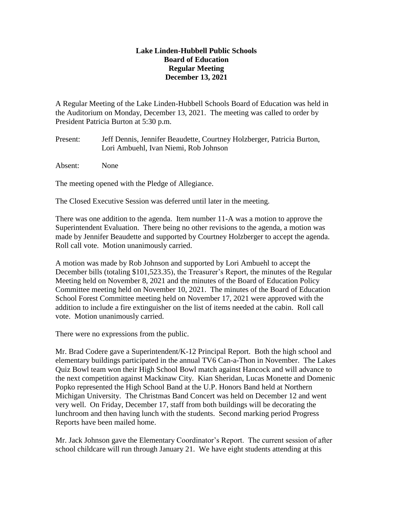## **Lake Linden-Hubbell Public Schools Board of Education Regular Meeting December 13, 2021**

A Regular Meeting of the Lake Linden-Hubbell Schools Board of Education was held in the Auditorium on Monday, December 13, 2021. The meeting was called to order by President Patricia Burton at 5:30 p.m.

Present: Jeff Dennis, Jennifer Beaudette, Courtney Holzberger, Patricia Burton, Lori Ambuehl, Ivan Niemi, Rob Johnson

Absent: None

The meeting opened with the Pledge of Allegiance.

The Closed Executive Session was deferred until later in the meeting.

There was one addition to the agenda. Item number 11-A was a motion to approve the Superintendent Evaluation. There being no other revisions to the agenda, a motion was made by Jennifer Beaudette and supported by Courtney Holzberger to accept the agenda. Roll call vote. Motion unanimously carried.

A motion was made by Rob Johnson and supported by Lori Ambuehl to accept the December bills (totaling \$101,523.35), the Treasurer's Report, the minutes of the Regular Meeting held on November 8, 2021 and the minutes of the Board of Education Policy Committee meeting held on November 10, 2021. The minutes of the Board of Education School Forest Committee meeting held on November 17, 2021 were approved with the addition to include a fire extinguisher on the list of items needed at the cabin. Roll call vote. Motion unanimously carried.

There were no expressions from the public.

Mr. Brad Codere gave a Superintendent/K-12 Principal Report. Both the high school and elementary buildings participated in the annual TV6 Can-a-Thon in November. The Lakes Quiz Bowl team won their High School Bowl match against Hancock and will advance to the next competition against Mackinaw City. Kian Sheridan, Lucas Monette and Domenic Popko represented the High School Band at the U.P. Honors Band held at Northern Michigan University. The Christmas Band Concert was held on December 12 and went very well. On Friday, December 17, staff from both buildings will be decorating the lunchroom and then having lunch with the students. Second marking period Progress Reports have been mailed home.

Mr. Jack Johnson gave the Elementary Coordinator's Report. The current session of after school childcare will run through January 21. We have eight students attending at this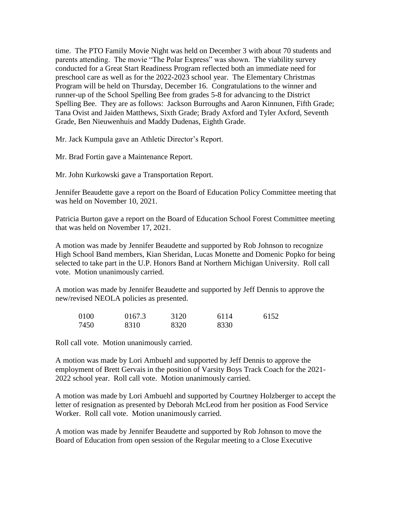time. The PTO Family Movie Night was held on December 3 with about 70 students and parents attending. The movie "The Polar Express" was shown. The viability survey conducted for a Great Start Readiness Program reflected both an immediate need for preschool care as well as for the 2022-2023 school year. The Elementary Christmas Program will be held on Thursday, December 16. Congratulations to the winner and runner-up of the School Spelling Bee from grades 5-8 for advancing to the District Spelling Bee. They are as follows: Jackson Burroughs and Aaron Kinnunen, Fifth Grade; Tana Ovist and Jaiden Matthews, Sixth Grade; Brady Axford and Tyler Axford, Seventh Grade, Ben Nieuwenhuis and Maddy Dudenas, Eighth Grade.

Mr. Jack Kumpula gave an Athletic Director's Report.

Mr. Brad Fortin gave a Maintenance Report.

Mr. John Kurkowski gave a Transportation Report.

Jennifer Beaudette gave a report on the Board of Education Policy Committee meeting that was held on November 10, 2021.

Patricia Burton gave a report on the Board of Education School Forest Committee meeting that was held on November 17, 2021.

A motion was made by Jennifer Beaudette and supported by Rob Johnson to recognize High School Band members, Kian Sheridan, Lucas Monette and Domenic Popko for being selected to take part in the U.P. Honors Band at Northern Michigan University. Roll call vote. Motion unanimously carried.

A motion was made by Jennifer Beaudette and supported by Jeff Dennis to approve the new/revised NEOLA policies as presented.

| 0100 | 0167.3 | 3120 | 6114 | 6152 |
|------|--------|------|------|------|
| 7450 | 8310   | 8320 | 8330 |      |

Roll call vote. Motion unanimously carried.

A motion was made by Lori Ambuehl and supported by Jeff Dennis to approve the employment of Brett Gervais in the position of Varsity Boys Track Coach for the 2021- 2022 school year. Roll call vote. Motion unanimously carried.

A motion was made by Lori Ambuehl and supported by Courtney Holzberger to accept the letter of resignation as presented by Deborah McLeod from her position as Food Service Worker. Roll call vote. Motion unanimously carried.

A motion was made by Jennifer Beaudette and supported by Rob Johnson to move the Board of Education from open session of the Regular meeting to a Close Executive